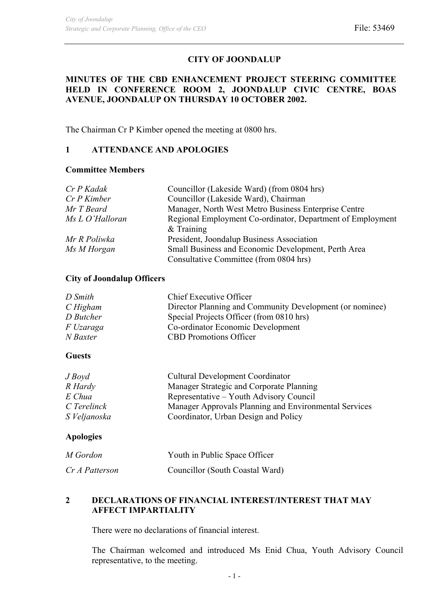# **CITY OF JOONDALUP**

# **MINUTES OF THE CBD ENHANCEMENT PROJECT STEERING COMMITTEE HELD IN CONFERENCE ROOM 2, JOONDALUP CIVIC CENTRE, BOAS AVENUE, JOONDALUP ON THURSDAY 10 OCTOBER 2002.**

The Chairman Cr P Kimber opened the meeting at 0800 hrs.

# **1 ATTENDANCE AND APOLOGIES**

## **Committee Members**

| Cr P Kadak      | Councillor (Lakeside Ward) (from 0804 hrs)                 |  |
|-----------------|------------------------------------------------------------|--|
| $Cr P$ Kimber   | Councillor (Lakeside Ward), Chairman                       |  |
| Mr T Beard      | Manager, North West Metro Business Enterprise Centre       |  |
| Ms L O'Halloran | Regional Employment Co-ordinator, Department of Employment |  |
|                 | $&$ Training                                               |  |
| Mr R Poliwka    | President, Joondalup Business Association                  |  |
| Ms M Horgan     | Small Business and Economic Development, Perth Area        |  |
|                 | Consultative Committee (from 0804 hrs)                     |  |

## **City of Joondalup Officers**

| D Smith   | Chief Executive Officer                                  |
|-----------|----------------------------------------------------------|
| C Higham  | Director Planning and Community Development (or nominee) |
| D Butcher | Special Projects Officer (from 0810 hrs)                 |
| F Uzaraga | Co-ordinator Economic Development                        |
| N Baxter  | <b>CBD</b> Promotions Officer                            |
|           |                                                          |

#### **Guests**

| $J$ Boyd     | <b>Cultural Development Coordinator</b>               |
|--------------|-------------------------------------------------------|
| R Hardy      | Manager Strategic and Corporate Planning              |
| E Chua       | Representative – Youth Advisory Council               |
| C Terelinck  | Manager Approvals Planning and Environmental Services |
| S Veljanoska | Coordinator, Urban Design and Policy                  |

## **Apologies**

| M Gordon       | Youth in Public Space Officer   |
|----------------|---------------------------------|
| Cr A Patterson | Councillor (South Coastal Ward) |

## **2 DECLARATIONS OF FINANCIAL INTEREST/INTEREST THAT MAY AFFECT IMPARTIALITY**

There were no declarations of financial interest.

The Chairman welcomed and introduced Ms Enid Chua, Youth Advisory Council representative, to the meeting.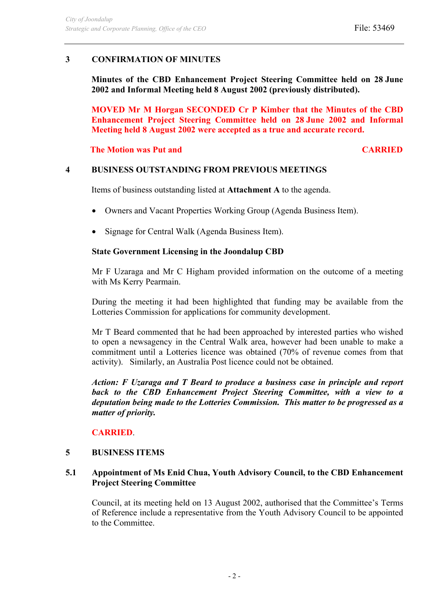# **3 CONFIRMATION OF MINUTES**

**Minutes of the CBD Enhancement Project Steering Committee held on 28 June 2002 and Informal Meeting held 8 August 2002 (previously distributed).**

**MOVED Mr M Horgan SECONDED Cr P Kimber that the Minutes of the CBD Enhancement Project Steering Committee held on 28 June 2002 and Informal Meeting held 8 August 2002 were accepted as a true and accurate record.**

**The Motion was Put and CARRIED CARRIED** 

## **4 BUSINESS OUTSTANDING FROM PREVIOUS MEETINGS**

Items of business outstanding listed at **Attachment A** to the agenda.

- Owners and Vacant Properties Working Group (Agenda Business Item).
- Signage for Central Walk (Agenda Business Item).

#### **State Government Licensing in the Joondalup CBD**

Mr F Uzaraga and Mr C Higham provided information on the outcome of a meeting with Ms Kerry Pearmain.

During the meeting it had been highlighted that funding may be available from the Lotteries Commission for applications for community development.

Mr T Beard commented that he had been approached by interested parties who wished to open a newsagency in the Central Walk area, however had been unable to make a commitment until a Lotteries licence was obtained (70% of revenue comes from that activity). Similarly, an Australia Post licence could not be obtained.

*Action: F Uzaraga and T Beard to produce a business case in principle and report back to the CBD Enhancement Project Steering Committee, with a view to a deputation being made to the Lotteries Commission. This matter to be progressed as a matter of priority.* 

## **CARRIED**.

#### **5 BUSINESS ITEMS**

#### **5.1 Appointment of Ms Enid Chua, Youth Advisory Council, to the CBD Enhancement Project Steering Committee**

Council, at its meeting held on 13 August 2002, authorised that the Committee's Terms of Reference include a representative from the Youth Advisory Council to be appointed to the Committee.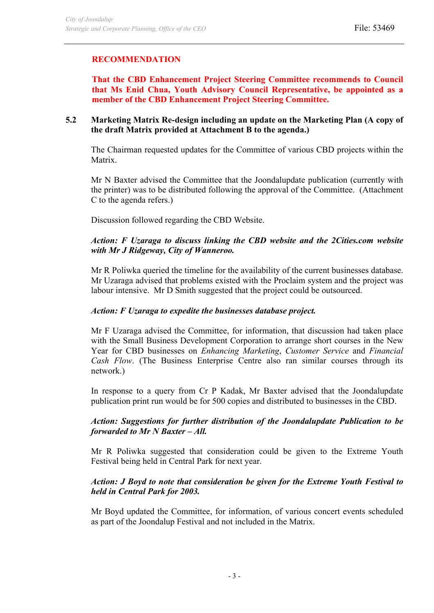# **RECOMMENDATION**

**That the CBD Enhancement Project Steering Committee recommends to Council that Ms Enid Chua, Youth Advisory Council Representative, be appointed as a member of the CBD Enhancement Project Steering Committee.** 

## **5.2 Marketing Matrix Re-design including an update on the Marketing Plan (A copy of the draft Matrix provided at Attachment B to the agenda.)**

The Chairman requested updates for the Committee of various CBD projects within the Matrix.

Mr N Baxter advised the Committee that the Joondalupdate publication (currently with the printer) was to be distributed following the approval of the Committee. (Attachment C to the agenda refers.)

Discussion followed regarding the CBD Website.

# *Action: F Uzaraga to discuss linking the CBD website and the 2Cities.com website with Mr J Ridgeway, City of Wanneroo.*

Mr R Poliwka queried the timeline for the availability of the current businesses database. Mr Uzaraga advised that problems existed with the Proclaim system and the project was labour intensive. Mr D Smith suggested that the project could be outsourced.

## *Action: F Uzaraga to expedite the businesses database project.*

Mr F Uzaraga advised the Committee, for information, that discussion had taken place with the Small Business Development Corporation to arrange short courses in the New Year for CBD businesses on *Enhancing Marketing*, *Customer Service* and *Financial Cash Flow*. (The Business Enterprise Centre also ran similar courses through its network.)

In response to a query from Cr P Kadak, Mr Baxter advised that the Joondalupdate publication print run would be for 500 copies and distributed to businesses in the CBD.

#### *Action: Suggestions for further distribution of the Joondalupdate Publication to be forwarded to Mr N Baxter – All.*

Mr R Poliwka suggested that consideration could be given to the Extreme Youth Festival being held in Central Park for next year.

## *Action: J Boyd to note that consideration be given for the Extreme Youth Festival to held in Central Park for 2003.*

Mr Boyd updated the Committee, for information, of various concert events scheduled as part of the Joondalup Festival and not included in the Matrix.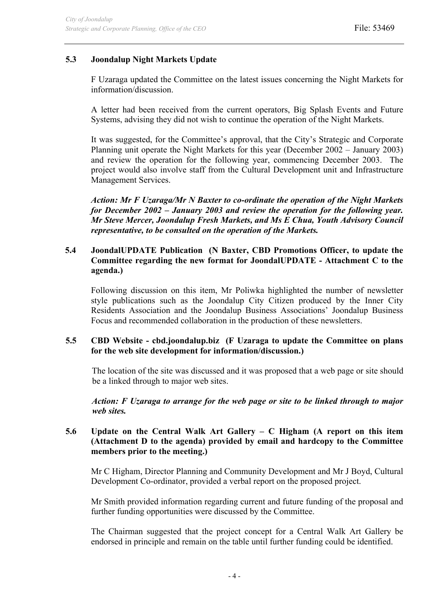# **5.3 Joondalup Night Markets Update**

F Uzaraga updated the Committee on the latest issues concerning the Night Markets for information/discussion.

A letter had been received from the current operators, Big Splash Events and Future Systems, advising they did not wish to continue the operation of the Night Markets.

It was suggested, for the Committee's approval, that the City's Strategic and Corporate Planning unit operate the Night Markets for this year (December 2002 – January 2003) and review the operation for the following year, commencing December 2003. The project would also involve staff from the Cultural Development unit and Infrastructure Management Services.

*Action: Mr F Uzaraga/Mr N Baxter to co-ordinate the operation of the Night Markets for December 2002 – January 2003 and review the operation for the following year. Mr Steve Mercer, Joondalup Fresh Markets, and Ms E Chua, Youth Advisory Council representative, to be consulted on the operation of the Markets.* 

## **5.4 JoondalUPDATE Publication (N Baxter, CBD Promotions Officer, to update the Committee regarding the new format for JoondalUPDATE - Attachment C to the agenda.)**

Following discussion on this item, Mr Poliwka highlighted the number of newsletter style publications such as the Joondalup City Citizen produced by the Inner City Residents Association and the Joondalup Business Associations' Joondalup Business Focus and recommended collaboration in the production of these newsletters.

#### **5.5 CBD Website - cbd.joondalup.biz (F Uzaraga to update the Committee on plans for the web site development for information/discussion.)**

The location of the site was discussed and it was proposed that a web page or site should be a linked through to major web sites.

*Action: F Uzaraga to arrange for the web page or site to be linked through to major web sites.* 

## **5.6 Update on the Central Walk Art Gallery – C Higham (A report on this item (Attachment D to the agenda) provided by email and hardcopy to the Committee members prior to the meeting.)**

Mr C Higham, Director Planning and Community Development and Mr J Boyd, Cultural Development Co-ordinator, provided a verbal report on the proposed project.

Mr Smith provided information regarding current and future funding of the proposal and further funding opportunities were discussed by the Committee.

The Chairman suggested that the project concept for a Central Walk Art Gallery be endorsed in principle and remain on the table until further funding could be identified.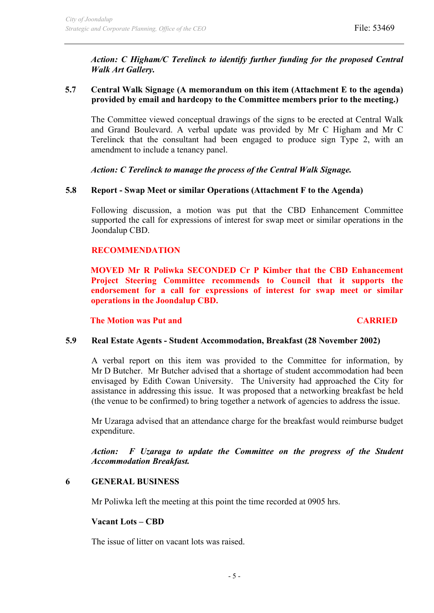*Action: C Higham/C Terelinck to identify further funding for the proposed Central Walk Art Gallery.* 

# **5.7 Central Walk Signage (A memorandum on this item (Attachment E to the agenda) provided by email and hardcopy to the Committee members prior to the meeting.)**

The Committee viewed conceptual drawings of the signs to be erected at Central Walk and Grand Boulevard. A verbal update was provided by Mr C Higham and Mr C Terelinck that the consultant had been engaged to produce sign Type 2, with an amendment to include a tenancy panel.

*Action: C Terelinck to manage the process of the Central Walk Signage.* 

## **5.8 Report - Swap Meet or similar Operations (Attachment F to the Agenda)**

Following discussion, a motion was put that the CBD Enhancement Committee supported the call for expressions of interest for swap meet or similar operations in the Joondalup CBD.

#### **RECOMMENDATION**

**MOVED Mr R Poliwka SECONDED Cr P Kimber that the CBD Enhancement Project Steering Committee recommends to Council that it supports the endorsement for a call for expressions of interest for swap meet or similar operations in the Joondalup CBD.** 

**The Motion was Put and CARRIED CARRIED** 

#### **5.9 Real Estate Agents - Student Accommodation, Breakfast (28 November 2002)**

A verbal report on this item was provided to the Committee for information, by Mr D Butcher. Mr Butcher advised that a shortage of student accommodation had been envisaged by Edith Cowan University. The University had approached the City for assistance in addressing this issue. It was proposed that a networking breakfast be held (the venue to be confirmed) to bring together a network of agencies to address the issue.

Mr Uzaraga advised that an attendance charge for the breakfast would reimburse budget expenditure.

*Action: F Uzaraga to update the Committee on the progress of the Student Accommodation Breakfast.* 

#### **6 GENERAL BUSINESS**

Mr Poliwka left the meeting at this point the time recorded at 0905 hrs.

#### **Vacant Lots – CBD**

The issue of litter on vacant lots was raised.